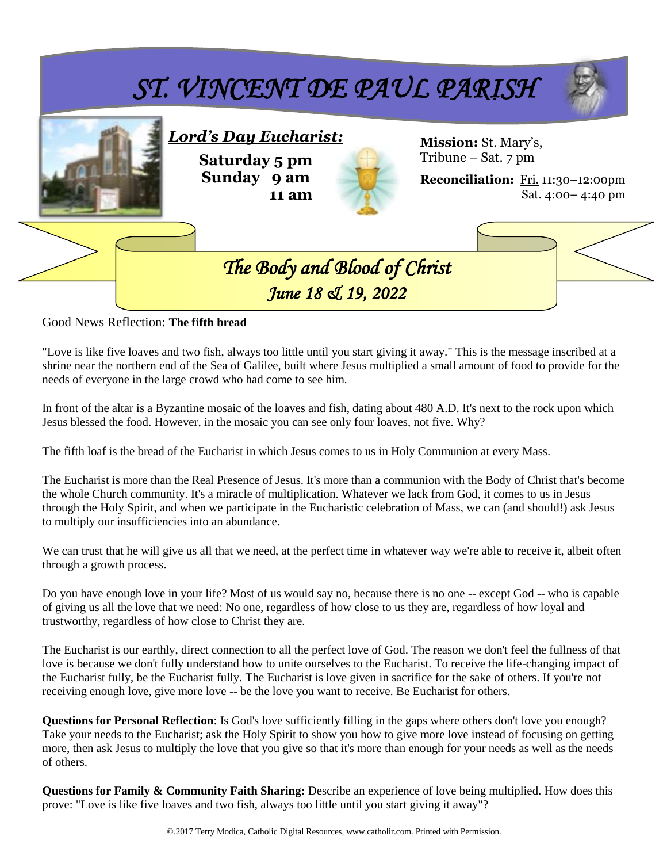

Good News Reflection: **The fifth bread**

"Love is like five loaves and two fish, always too little until you start giving it away." This is the message inscribed at a shrine near the northern end of the Sea of Galilee, built where Jesus multiplied a small amount of food to provide for the needs of everyone in the large crowd who had come to see him.

In front of the altar is a Byzantine mosaic of the loaves and fish, dating about 480 A.D. It's next to the rock upon which Jesus blessed the food. However, in the mosaic you can see only four loaves, not five. Why?

The fifth loaf is the bread of the Eucharist in which Jesus comes to us in Holy Communion at every Mass.

The Eucharist is more than the Real Presence of Jesus. It's more than a communion with the Body of Christ that's become the whole Church community. It's a miracle of multiplication. Whatever we lack from God, it comes to us in Jesus through the Holy Spirit, and when we participate in the Eucharistic celebration of Mass, we can (and should!) ask Jesus to multiply our insufficiencies into an abundance.

We can trust that he will give us all that we need, at the perfect time in whatever way we're able to receive it, albeit often through a growth process.

Do you have enough love in your life? Most of us would say no, because there is no one -- except God -- who is capable of giving us all the love that we need: No one, regardless of how close to us they are, regardless of how loyal and trustworthy, regardless of how close to Christ they are.

The Eucharist is our earthly, direct connection to all the perfect love of God. The reason we don't feel the fullness of that love is because we don't fully understand how to unite ourselves to the Eucharist. To receive the life-changing impact of the Eucharist fully, be the Eucharist fully. The Eucharist is love given in sacrifice for the sake of others. If you're not receiving enough love, give more love -- be the love you want to receive. Be Eucharist for others.

**Questions for Personal Reflection**: Is God's love sufficiently filling in the gaps where others don't love you enough? Take your needs to the Eucharist; ask the Holy Spirit to show you how to give more love instead of focusing on getting more, then ask Jesus to multiply the love that you give so that it's more than enough for your needs as well as the needs of others.

**Questions for Family & Community Faith Sharing:** Describe an experience of love being multiplied. How does this prove: "Love is like five loaves and two fish, always too little until you start giving it away"?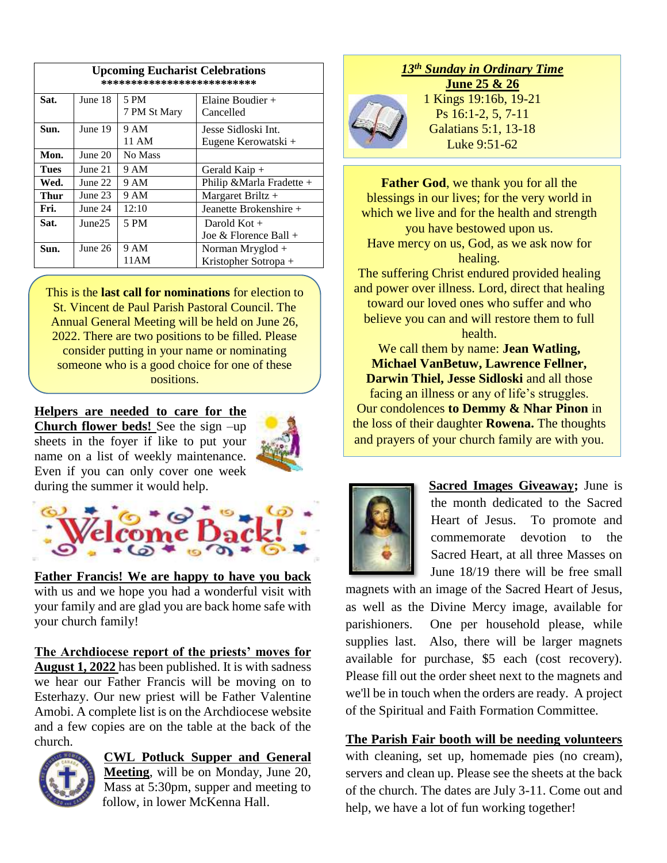| <b>Upcoming Eucharist Celebrations</b><br>************************** |         |              |                                            |  |  |
|----------------------------------------------------------------------|---------|--------------|--------------------------------------------|--|--|
| Sat.                                                                 | June 18 | 5 PM         | Elaine Boudier $+$                         |  |  |
|                                                                      |         | 7 PM St Mary | Cancelled                                  |  |  |
| Sun.                                                                 | June 19 | 9 AM         | Jesse Sidloski Int.<br>Eugene Kerowatski + |  |  |
|                                                                      |         | 11 AM        |                                            |  |  |
| Mon.                                                                 | June 20 | No Mass      |                                            |  |  |
| <b>Tues</b>                                                          | June 21 | 9 AM         | Gerald Kaip $+$                            |  |  |
| Wed.                                                                 | June 22 | 9 AM         | Philip & Marla Fradette +                  |  |  |
| Thur                                                                 | June 23 | 9 AM         | Margaret Briltz $+$                        |  |  |
| Fri.                                                                 | June 24 | 12:10        | Jeanette Brokenshire +                     |  |  |
| Sat.                                                                 | June25  | 5 PM         | Darold Kot +                               |  |  |
|                                                                      |         |              | Joe & Florence Ball $+$                    |  |  |
| Sun.                                                                 | June 26 | 9 AM         | Norman Mryglod $+$                         |  |  |
|                                                                      |         | 11 AM        | Kristopher Sotropa +                       |  |  |

This is the **last call for nominations** for election to St. Vincent de Paul Parish Pastoral Council. The Annual General Meeting will be held on June 26, 2022. There are two positions to be filled. Please consider putting in your name or nominating someone who is a good choice for one of these positions.

**Helpers are needed to care for the Church flower beds!** See the sign –up sheets in the foyer if like to put your name on a list of weekly maintenance. Even if you can only cover one week during the summer it would help.





**Father Francis! We are happy to have you back** with us and we hope you had a wonderful visit with your family and are glad you are back home safe with your church family!

**The Archdiocese report of the priests' moves for August 1, 2022** has been published. It is with sadness we hear our Father Francis will be moving on to Esterhazy. Our new priest will be Father Valentine Amobi. A complete list is on the Archdiocese website and a few copies are on the table at the back of the church.



**CWL Potluck Supper and General Meeting**, will be on Monday, June 20, Mass at 5:30pm, supper and meeting to follow, in lower McKenna Hall.

# *13th Sunday in Ordinary Time*



**June 25 & 26** 1 Kings 19:16b, 19-21 Ps 16:1-2, 5, 7-11 Galatians 5:1, 13-18 Luke 9:51-62

**Father God**, we thank you for all the blessings in our lives; for the very world in which we live and for the health and strength you have bestowed upon us. Have mercy on us, God, as we ask now for healing.

The suffering Christ endured provided healing and power over illness. Lord, direct that healing toward our loved ones who suffer and who believe you can and will restore them to full health.

We call them by name: **Jean Watling, Michael VanBetuw, Lawrence Fellner, Darwin Thiel, Jesse Sidloski** and all those facing an illness or any of life's struggles. Our condolences **to Demmy & Nhar Pinon** in the loss of their daughter **Rowena.** The thoughts and prayers of your church family are with you.



**Sacred Images Giveaway;** June is the month dedicated to the Sacred Heart of Jesus. To promote and commemorate devotion to the Sacred Heart, at all three Masses on June 18/19 there will be free small

magnets with an image of the Sacred Heart of Jesus, as well as the Divine Mercy image, available for parishioners. One per household please, while supplies last. Also, there will be larger magnets available for purchase, \$5 each (cost recovery). Please fill out the order sheet next to the magnets and we'll be in touch when the orders are ready. A project of the Spiritual and Faith Formation Committee.

**The Parish Fair booth will be needing volunteers** with cleaning, set up, homemade pies (no cream), servers and clean up. Please see the sheets at the back of the church. The dates are July 3-11. Come out and help, we have a lot of fun working together!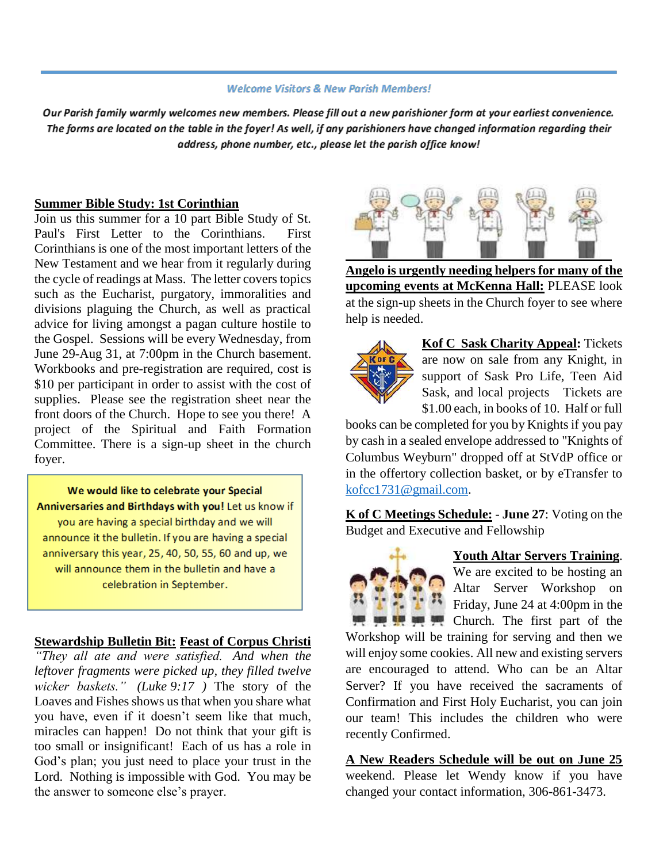#### **Welcome Visitors & New Parish Members!**

Our Parish family warmly welcomes new members. Please fill out a new parishioner form at your earliest convenience. The forms are located on the table in the foyer! As well, if any parishioners have changed information regarding their address, phone number, etc., please let the parish office know!

### **Summer Bible Study: 1st Corinthian**

Join us this summer for a 10 part Bible Study of St. Paul's First Letter to the Corinthians. First Corinthians is one of the most important letters of the New Testament and we hear from it regularly during the cycle of readings at Mass. The letter covers topics such as the Eucharist, purgatory, immoralities and divisions plaguing the Church, as well as practical advice for living amongst a pagan culture hostile to the Gospel. Sessions will be every Wednesday, from June 29-Aug 31, at 7:00pm in the Church basement. Workbooks and pre-registration are required, cost is \$10 per participant in order to assist with the cost of supplies. Please see the registration sheet near the front doors of the Church. Hope to see you there! A project of the Spiritual and Faith Formation Committee. There is a sign-up sheet in the church foyer.

# We would like to celebrate your Special Anniversaries and Birthdays with you! Let us know if you are having a special birthday and we will announce it the bulletin. If you are having a special anniversary this year, 25, 40, 50, 55, 60 and up, we

will announce them in the bulletin and have a celebration in September.

# **Stewardship Bulletin Bit: Feast of Corpus Christi**

*"They all ate and were satisfied. And when the leftover fragments were picked up, they filled twelve wicker baskets." (Luke 9:17 )* The story of the Loaves and Fishes shows us that when you share what you have, even if it doesn't seem like that much, miracles can happen! Do not think that your gift is too small or insignificant! Each of us has a role in God's plan; you just need to place your trust in the Lord. Nothing is impossible with God. You may be the answer to someone else's prayer.



**Angelo is urgently needing helpers for many of the upcoming events at McKenna Hall:** PLEASE look at the sign-up sheets in the Church foyer to see where help is needed.



**Kof C Sask Charity Appeal:** Tickets are now on sale from any Knight, in support of Sask Pro Life, Teen Aid Sask, and local projects Tickets are \$1.00 each, in books of 10. Half or full

books can be completed for you by Knights if you pay by cash in a sealed envelope addressed to "Knights of Columbus Weyburn" dropped off at StVdP office or in the offertory collection basket, or by eTransfer to [kofcc1731@gmail.com.](mailto:kofcc1731@gmail.com)

**K of C Meetings Schedule:** - **June 27**: Voting on the Budget and Executive and Fellowship



# **Youth Altar Servers Training**.

We are excited to be hosting an Altar Server Workshop on Friday, June 24 at 4:00pm in the Church. The first part of the

Workshop will be training for serving and then we will enjoy some cookies. All new and existing servers are encouraged to attend. Who can be an Altar Server? If you have received the sacraments of Confirmation and First Holy Eucharist, you can join our team! This includes the children who were recently Confirmed.

**A New Readers Schedule will be out on June 25** weekend. Please let Wendy know if you have changed your contact information, 306-861-3473.